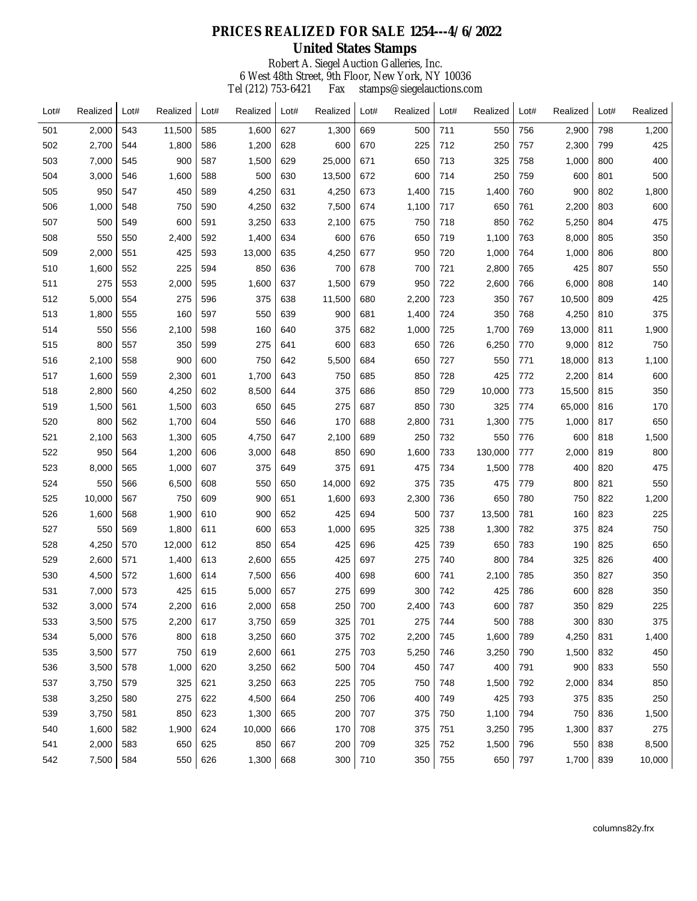## **PRICES REALIZED FOR SALE 1254---4/6/2022**

## Robert A. Siegel Auction Galleries, Inc. 6 West 48th Street, 9th Floor, New York, NY 10036 Tel (212) 753-6421 Fax stamps@siegelauctions.com **United States Stamps**

| Lot# | Realized | Lot# | Realized | Lot# | Realized | Lot# | Realized | Lot# | Realized | Lot# | Realized | Lot# | Realized | Lot# | Realized |
|------|----------|------|----------|------|----------|------|----------|------|----------|------|----------|------|----------|------|----------|
| 501  | 2,000    | 543  | 11,500   | 585  | 1,600    | 627  | 1,300    | 669  | 500      | 711  | 550      | 756  | 2,900    | 798  | 1,200    |
| 502  | 2,700    | 544  | 1,800    | 586  | 1,200    | 628  | 600      | 670  | 225      | 712  | 250      | 757  | 2,300    | 799  | 425      |
| 503  | 7,000    | 545  | 900      | 587  | 1,500    | 629  | 25,000   | 671  | 650      | 713  | 325      | 758  | 1,000    | 800  | 400      |
| 504  | 3,000    | 546  | 1,600    | 588  | 500      | 630  | 13,500   | 672  | 600      | 714  | 250      | 759  | 600      | 801  | 500      |
| 505  | 950      | 547  | 450      | 589  | 4,250    | 631  | 4,250    | 673  | 1,400    | 715  | 1,400    | 760  | 900      | 802  | 1,800    |
| 506  | 1,000    | 548  | 750      | 590  | 4,250    | 632  | 7,500    | 674  | 1,100    | 717  | 650      | 761  | 2,200    | 803  | 600      |
| 507  | 500      | 549  | 600      | 591  | 3,250    | 633  | 2,100    | 675  | 750      | 718  | 850      | 762  | 5,250    | 804  | 475      |
| 508  | 550      | 550  | 2,400    | 592  | 1,400    | 634  | 600      | 676  | 650      | 719  | 1,100    | 763  | 8,000    | 805  | 350      |
| 509  | 2,000    | 551  | 425      | 593  | 13,000   | 635  | 4,250    | 677  | 950      | 720  | 1,000    | 764  | 1,000    | 806  | 800      |
| 510  | 1,600    | 552  | 225      | 594  | 850      | 636  | 700      | 678  | 700      | 721  | 2,800    | 765  | 425      | 807  | 550      |
| 511  | 275      | 553  | 2,000    | 595  | 1,600    | 637  | 1,500    | 679  | 950      | 722  | 2,600    | 766  | 6,000    | 808  | 140      |
| 512  | 5,000    | 554  | 275      | 596  | 375      | 638  | 11,500   | 680  | 2,200    | 723  | 350      | 767  | 10,500   | 809  | 425      |
| 513  | 1,800    | 555  | 160      | 597  | 550      | 639  | 900      | 681  | 1,400    | 724  | 350      | 768  | 4,250    | 810  | 375      |
| 514  | 550      | 556  | 2,100    | 598  | 160      | 640  | 375      | 682  | 1,000    | 725  | 1,700    | 769  | 13,000   | 811  | 1,900    |
| 515  | 800      | 557  | 350      | 599  | 275      | 641  | 600      | 683  | 650      | 726  | 6,250    | 770  | 9,000    | 812  | 750      |
| 516  | 2,100    | 558  | 900      | 600  | 750      | 642  | 5,500    | 684  | 650      | 727  | 550      | 771  | 18,000   | 813  | 1,100    |
| 517  | 1,600    | 559  | 2,300    | 601  | 1,700    | 643  | 750      | 685  | 850      | 728  | 425      | 772  | 2,200    | 814  | 600      |
| 518  | 2,800    | 560  | 4,250    | 602  | 8,500    | 644  | 375      | 686  | 850      | 729  | 10,000   | 773  | 15,500   | 815  | 350      |
| 519  | 1,500    | 561  | 1,500    | 603  | 650      | 645  | 275      | 687  | 850      | 730  | 325      | 774  | 65,000   | 816  | 170      |
| 520  | 800      | 562  | 1,700    | 604  | 550      | 646  | 170      | 688  | 2,800    | 731  | 1,300    | 775  | 1,000    | 817  | 650      |
| 521  | 2,100    | 563  | 1,300    | 605  | 4,750    | 647  | 2,100    | 689  | 250      | 732  | 550      | 776  | 600      | 818  | 1,500    |
| 522  | 950      | 564  | 1,200    | 606  | 3,000    | 648  | 850      | 690  | 1,600    | 733  | 130,000  | 777  | 2,000    | 819  | 800      |
| 523  | 8,000    | 565  | 1,000    | 607  | 375      | 649  | 375      | 691  | 475      | 734  | 1,500    | 778  | 400      | 820  | 475      |
| 524  | 550      | 566  | 6,500    | 608  | 550      | 650  | 14,000   | 692  | 375      | 735  | 475      | 779  | 800      | 821  | 550      |
| 525  | 10,000   | 567  | 750      | 609  | 900      | 651  | 1,600    | 693  | 2,300    | 736  | 650      | 780  | 750      | 822  | 1,200    |
| 526  | 1,600    | 568  | 1,900    | 610  | 900      | 652  | 425      | 694  | 500      | 737  | 13,500   | 781  | 160      | 823  | 225      |
| 527  | 550      | 569  | 1,800    | 611  | 600      | 653  | 1,000    | 695  | 325      | 738  | 1,300    | 782  | 375      | 824  | 750      |
| 528  | 4,250    | 570  | 12,000   | 612  | 850      | 654  | 425      | 696  | 425      | 739  | 650      | 783  | 190      | 825  | 650      |
| 529  | 2,600    | 571  | 1,400    | 613  | 2,600    | 655  | 425      | 697  | 275      | 740  | 800      | 784  | 325      | 826  | 400      |
| 530  | 4,500    | 572  | 1,600    | 614  | 7,500    | 656  | 400      | 698  | 600      | 741  | 2,100    | 785  | 350      | 827  | 350      |
| 531  | 7,000    | 573  | 425      | 615  | 5,000    | 657  | 275      | 699  | 300      | 742  | 425      | 786  | 600      | 828  | 350      |
| 532  | 3,000    | 574  | 2,200    | 616  | 2,000    | 658  | 250      | 700  | 2,400    | 743  | 600      | 787  | 350      | 829  | 225      |
| 533  | 3,500    | 575  | 2,200    | 617  | 3,750    | 659  | 325      | 701  | 275      | 744  | 500      | 788  | 300      | 830  | 375      |
| 534  | 5,000    | 576  | 800      | 618  | 3,250    | 660  | 375      | 702  | 2,200    | 745  | 1,600    | 789  | 4,250    | 831  | 1,400    |
| 535  | 3,500    | 577  | 750      | 619  | 2,600    | 661  | 275      | 703  | 5,250    | 746  | 3,250    | 790  | 1,500    | 832  | 450      |
| 536  | 3,500    | 578  | 1,000    | 620  | 3,250    | 662  | 500      | 704  | 450      | 747  | 400      | 791  | 900      | 833  | 550      |
| 537  | 3,750    | 579  | 325      | 621  | 3,250    | 663  | 225      | 705  | 750      | 748  | 1,500    | 792  | 2,000    | 834  | 850      |
| 538  | 3,250    | 580  | 275      | 622  | 4,500    | 664  | 250      | 706  | 400      | 749  | 425      | 793  | 375      | 835  | 250      |
| 539  | 3,750    | 581  | 850      | 623  | 1,300    | 665  | 200      | 707  | 375      | 750  | 1,100    | 794  | 750      | 836  | 1,500    |
| 540  | 1,600    | 582  | 1,900    | 624  | 10,000   | 666  | 170      | 708  | 375      | 751  | 3,250    | 795  | 1,300    | 837  | 275      |
| 541  | 2,000    | 583  | 650      | 625  | 850      | 667  | 200      | 709  | 325      | 752  | 1,500    | 796  | 550      | 838  | 8,500    |
| 542  | 7,500    | 584  | 550      | 626  | 1,300    | 668  | 300      | 710  | 350      | 755  | 650      | 797  | 1,700    | 839  | 10,000   |